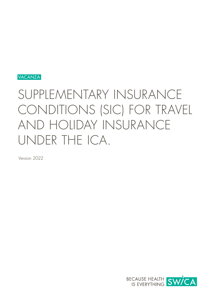

# SUPPLEMENTARY INSURANCE CONDITIONS (SIC) FOR TRAVEL AND HOLIDAY INSURANCE UNDER THE ICA.

Version 2022

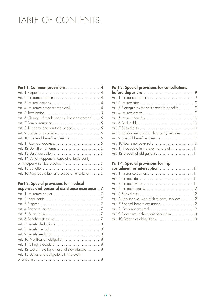# TABLE OF CONTENTS.

| Part 1: Common provisions 4                        |  |
|----------------------------------------------------|--|
|                                                    |  |
|                                                    |  |
|                                                    |  |
| Art. 4 Insurance cover by the week 4               |  |
|                                                    |  |
| Art. 6 Change of residence to a location abroad 5  |  |
|                                                    |  |
| Art. 8 Temporal and territorial scope5             |  |
|                                                    |  |
| Art. 10 General benefit exclusions 5               |  |
|                                                    |  |
|                                                    |  |
|                                                    |  |
| Art. 14 What happens in case of a liable party     |  |
|                                                    |  |
|                                                    |  |
| Art. 16 Applicable law and place of jurisdiction 6 |  |

# [Part 2: Special provisions for medical](#page-6-0)

| expenses and personal assistance insurance  7   |  |
|-------------------------------------------------|--|
|                                                 |  |
|                                                 |  |
|                                                 |  |
|                                                 |  |
|                                                 |  |
|                                                 |  |
|                                                 |  |
|                                                 |  |
|                                                 |  |
| Art. 10 Notification obligation 8               |  |
|                                                 |  |
| Art. 12 Cover note for a hospital stay abroad 8 |  |
| Art. 13 Duties and obligations in the event     |  |
|                                                 |  |
|                                                 |  |

# [Part 3: Special provisions for cancellations](#page-8-0)

| Art. 3 Prerequisites for entitlement to benefits  9   |  |
|-------------------------------------------------------|--|
|                                                       |  |
|                                                       |  |
|                                                       |  |
|                                                       |  |
| Art. 8 Liability exclusion of third-party services 10 |  |
| Art. 9 Special benefit exclusions 10                  |  |
|                                                       |  |
| Art. 11 Procedure in the event of a claim 11          |  |
| Art. 12 Breach of obligations11                       |  |
|                                                       |  |

# [Part 4: Special provisions for trip](#page-10-0)

| Art. 6 Liability exclusion of third-party services 12 |  |
|-------------------------------------------------------|--|
| Art. 7 Special benefit exclusions 12                  |  |
|                                                       |  |
|                                                       |  |
|                                                       |  |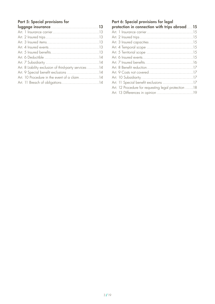# [Part 5: Special provisions for](#page-12-0)

| Art. 8 Liability exclusion of third-party services 14 |
|-------------------------------------------------------|
| Art. 9 Special benefit exclusions 14                  |
| Art. 10 Procedure in the event of a claim 14          |
|                                                       |

# [Part 6: Special provisions for legal](#page-14-0)  [protection in connection with trips abroad](#page-14-0).... 15 [Art. 1 Insurance carrier. . 15](#page-14-0) [Art. 2 Insured trips. . 15](#page-14-0) [Art. 3 Insured capacities. . 15](#page-14-0) [Art. 4 Temporal scope. . 15](#page-14-0) [Art. 5 Territorial scope. . 15](#page-14-0) [Art. 6 Insured events. . 15](#page-14-0) [Art. 7 Insured benefits. . 16](#page-15-0) [Art. 8 Benefit reduction. . . . . . . . . . . . . . . . . . . . . . . . . . . . . . . . . . .17](#page-16-0) [Art. 9 Costs not covered. . 17](#page-16-0) [Art. 10 Subsidiarity. . 17](#page-16-0) Art. 11 Special benefit exclusions .............................17 Art. 12 Procedure for requesting legal protection ......18 Art. 13 Differences in opinion ................................19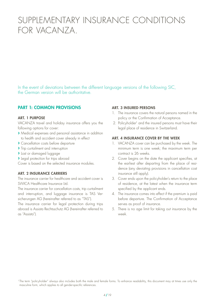# <span id="page-3-0"></span>SUPPLEMENTARY INSURANCE CONDITIONS FOR VACANZA.

In the event of deviations between the different language versions of the following SIC, the German version will be authoritative.

# PART 1: COMMON PROVISIONS

#### ART. 1 PURPOSE

VACANZA travel and holiday insurance offers you the following options for cover:

- **›** Medical expenses and personal assistance in addition to health and accident cover already in effect
- **›** Cancellation costs before departure
- **›** Trip curtailment and interruption
- **›** Lost or damaged luggage
- **›** Legal protection for trips abroad

Cover is based on the selected insurance modules.

#### ART. 2 INSURANCE CARRIERS

The insurance carrier for healthcare and accident cover is SWICA Healthcare Insurance Ltd.

The insurance carrier for cancellation costs, trip curtailment and interruption, and luggage insurance is TAS Versicherungen AG (hereinafter referred to as "TAS").

The insurance carrier for legal protection during trips abroad is Assista Rechtsschutz AG (hereinafter referred to as "Assista").

#### ART. 3 INSURED PERSONS

- 1. The insurance covers the natural persons named in the policy or the Confirmation of Acceptance.
- 2. Policyholder<sup>1</sup> and the insured persons must have their legal place of residence in Switzerland.

#### ART. 4 INSURANCE COVER BY THE WEEK

- 1. VACANZA cover can be purchased by the week. The minimum term is one week; the maximum term per contract is 26 weeks.
- 2. Cover begins on the date the applicant specifies, at the earliest after departing from the place of residence (any deviating provisions in cancellation cost insurance still apply).
- 3. Cover ends upon the policyholder's return to the place of residence, at the latest when the insurance term specified by the applicant ends.
- 4. The insurance comes into effect if the premium is paid before departure. The Confirmation of Acceptance serves as proof of insurance.
- 5. There is no age limit for taking out insurance by the week.

<sup>&</sup>lt;sup>1</sup>The term "policyholder" always also includes both the male and female forms. To enhance readability, this document may at times use only the masculine form, which applies to all gender-specific references.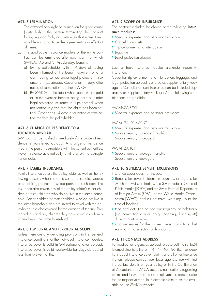# <span id="page-4-0"></span>ART. 5 TERMINATION

- 1. The extraordinary right of termination for good cause (particularly if the person terminating the contract faces, in good faith, circumstances that make it reasonable not to continue the agreement) is in effect at all times.
- 2. The applicable insurance module or the entire contract can be terminated after each claim for which SWICA, TAS and/or Assista pays benefits.
	- a) By the policyholder within 14 days of having been informed of the benefit payment or of a claim being settled under legal protection insurance for trips abroad. Cover ends 14 days after notice of termination reaches SWICA.
	- b) By SWICA at the latest when benefits are paid or, in the event of benefits being paid out under legal protection insurance for trips abroad, when notification is given that the claim has been settled. Cover ends 14 days after notice of termination reaches the policyholder.

#### ART. 6 CHANGE OF RESIDENCE TO A LOCATION ABROAD

SWICA must be notified immediately if the place of residence is transferred abroad. A change of residence means the person de-registers with the current authorities. Travel insurance automatically terminates on the de-registration date.

#### ART. 7 FAMILY INSURANCE

Family insurance covers the policyholder as well as the following persons who share the same household: spouse or cohabiting partner, registered partner and children. The insurance also covers any of the policyholder's minor children or foster children who do not live in the same household. Minor children or foster children who do not live in the same household and are invited to travel with the policyholder are also covered for the duration of the trip. Two individuals and any children they have count as a family if they live in the same household.

#### ART. 8 TEMPORAL AND TERRITORIAL SCOPE

Unless there are any deviating provisions in the General Insurance Conditions for the individual insurance modules, insurance cover is valid in Switzerland and/or abroad. Insurance cover is valid worldwide for stays abroad of less than twelve months.

# ART. 9 SCOPE OF INSURANCE

The contract includes the choice of the following *insur*ance modules:

- **›** Medical expenses and personal assistance
- **›** Cancellation costs
- **›** Trip curtailment and interruption
- **›** Luggage
- **›** Legal protection abroad

Each of these insurance modules falls under indemnity insurance.

Cover for trip curtailment and interruption, luggage, and legal protection abroad is offered as Supplementary Package 1. Cancellation cost insurance can be included separately as Supplementary Package 2. The following combinations are possible:

#### VACANZA ECO

**›** Medical expenses and personal assistance

#### VACANZA COMFORT

- **›** Medical expenses and personal assistance
- **›** Supplementary Package 1 and/or Supplementary Package 2

#### VACANZA TOP

**›** Supplementary Package 1 and/or Supplementary Package 2

# ART. 10 GENERAL BENEFIT EXCLUSIONS

Insurance cover does not include:

- **›** Benefits for travel incidents in countries or regions for which the Swiss authorities (the Swiss Federal Office of Public Health [FOPH] and the Swiss Federal Department of Foreign Affairs [FDFA]) or the World Health Organisation [WHO]) had issued travel warnings up to the time of booking;
- **›** trips and activities carried out regularly or habitually (e.g. commuting to work, going shopping, doing sports) do not count as travel;
- **›** inconveniences for the insured person (lost time, lost earnings) in connection with a claim.

#### ART. 11 CONTACT ADDRESS

For medical emergencies abroad, please call the santé24 telemedicine helpline on +41 44 404 86 86. For questions about insurance cover, claims and all other insurance matters, please contact your local agency. You will find the contact details on your policy or in the Confirmation of Acceptance. SWICA accepts notifications regarding claims and forwards them to the relevant insurance carrier for the respective module. Electronic claim forms are available on the SWICA website.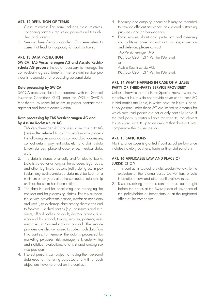# <span id="page-5-0"></span>ART. 12 DEFINITION OF TERMS

- 1. Close relatives: This term includes close relatives, cohabiting partners, registered partners and their children and parents.
- 2. Serious illness/serious accident: This term refers to cases that lead to incapacity for work or travel.

# ART. 13 DATA PROTECTION

#### SWICA, TAS Versicherungen AG and Assista Rechts-

schutz AG process the data necessary to manage the contractually agreed benefits. The relevant service provider is responsible for processing personal data.

#### Data processing by SWICA

SWICA processes data in accordance with the General Insurance Conditions (GIC) under the VVG of SWICA Healthcare Insurance Ltd to ensure proper contract management and benefit administration.

#### Data processing by TAS Versicherungen AG and by Assista Rechtsschutz AG

- 1. TAS Versicherungen AG and Assista Rechtsschutz AG (hereinafter referred to as "Insurers") mainly process the following personal data: contract data (addresses, contact details, payment data, etc.) and claims data (circumstances, place of occurrence, medical data, etc.).
- 2. The data is stored physically and/or electronically. Data is stored for as long as the purpose, legal basis, and other legitimate reasons justify doing so. In particular, any business-related data must be kept for a minimum of ten years after the contractual relationship ends or the claim has been settled.
- 3. The data is used for concluding and managing the contract and for processing claims. For this purpose, the service providers are entitled, insofar as necessary and useful, to exchange data among themselves and to forward it to third parties (e.g. co-insurers and reinsurers, official bodies, hospitals, doctors, airlines, automobile clubs abroad, towing services, partners, intermediaries) in Switzerland and abroad. The service providers are also authorised to collect such data from third parties. Furthermore, the data is processed for marketing purposes, risk management, underwriting and statistical evaluations, and is shared among service providers.
- 4. Insured persons can object to having their personal data used for marketing purposes at any time. Such objections have no effect on the contract.
- 5. Incoming and outgoing phone calls may be recorded to provide efficient assistance, assure quality (training purposes) and gather evidence.
- 6. For questions about data protection and asserting your rights in connection with data access, correction and deletion, please contact TAS Versicherungen AG, P.O. Box 820, 1214 Vernier (Geneva) or Assista Rechtsschutz AG, P.O. Box 820, 1214 Vernier (Geneva).

# ART. 14 WHAT HAPPENS IN CASE OF A LIABLE PARTY OR THIRD-PARTY SERVICE PROVIDER?

Unless otherwise laid out in the Special Provisions below, the relevant Insurers do not provide cover under these SC if third parties are liable, in which case the Insurers' benefit obligations under these SC are limited to amounts for which such third parties are not or only partially liable. If the third party is partially liable for benefits, the relevant Insurers pay benefits up to an amount that does not overcompensate the insured person.

# ART. 15 SANCTIONS

No insurance cover is granted if contractual performance violates statutory business, trade or financial sanctions.

#### ART. 16 APPLICABLE LAW AND PLACE OF **JURISDICTION**

- 1. This contract is subject to Swiss substantive law, to the exclusion of the Vienna Sales Convention, private international law and other conflict-of-law rules.
- 2. Disputes arising from this contract must be brought before the courts at the Swiss place of residence of the policyholder or beneficiary or at the registered office of the companies.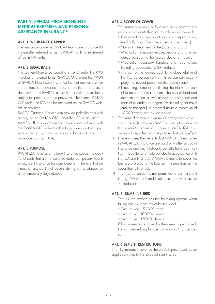# <span id="page-6-0"></span>PART 2: SPECIAL PROVISIONS FOR MEDICAL EXPENSES AND PERSONAL ASSISTANCE INSURANCE

#### ART. 1 INSURANCE CARRIER

The insurance carrier is SWICA Healthcare Insurance Ltd (hereinafter referred to as "SWICA") with its registered office in Winterthur.

# ART. 2 LEGAL BASIS

The General Insurance Conditions (GIC) under the VVG (hereinafter referred to as "SWICA GIC under the VVG") of SWICA Healthcare Insurance Ltd that are valid when the contract is purchased apply to healthcare and accident cover from SWICA, unless the module in question is subject to special separate provisions. The current SWICA GIC under the ICA can be accessed on the SWICA website at any time.

SWICA Customer Service can provide policyholders with a copy of the SWICA GIC under the ICA at any time.

SWICA offers supplementary cover in accordance with the SWICA GIC under the ICA to provide additional protection during trips abroad in accordance with the insurance contracts act (ICA).

# ART. 3 PURPOSE

VACANZA travel and holiday insurance covers the additional costs that are not covered under compulsory health or accident insurance for care benefits in the event of an illness or accident that occurs during a trip abroad or other temporary stays abroad.

# ART. 4 SCOPE OF COVER

- 1. The insurance covers the following costs incurred from illness or accidents that are not otherwise covered:
	- **›** Outpatient treatment (doctor's visits, hospitalisation, medically prescribed medicines, lab tests, etc.)
	- **›** Stays at a treatment centre (care and board)
	- **›** Medically necessary rescue, recovery, and emergency transport to the nearest doctor or hospital
	- **›** Medically necessary transfers and repatriation, including decedents, to Switzerland
	- **›** The cost of the journey back for a close relative of the insured person so that this person can accompany the insured person on the journey back
	- **›** If returning home or continuing the trip is not possible due to medical reasons, the cost of food and accommodation, as well as any rebooking fees and costs of extending arrangements (including for travel and/or transport), is covered up to a maximum of 10000 francs per insured person.
- 2. The insured person must make all arrangements exclusively through santé24. SWICA covers the services that santé24 commissions under its VACANZA insurance and any other SWICA policies that are in effect.
- 3. In every case, the benefits that SWICA covers under its VACANZA insurance are paid only after all social insurance and any third-party benefits have been settled. If additional private policies in accordance with the ICA are in effect, SWICA's benefits to cover the loss are prorated to the total sum insured from all the cover that is in effect.
- 4. The insured person is not permitted to earn a profit through VACANZA and is reimbursed only for actual verified costs.

# ART. 5 SUMS INSURED

- 1. The insured person has the following options when taking out insurance cover by the week:
	- **›** Sum insured 50000 francs
	- **›** Sum insured 100000 francs
	- **›** Sum insured 150000 francs
- 2. If family insurance cover by the week is purchased, the sum insured applies per contract and not per person.

# ART. 6 BENEFIT RESTRICTIONS

If family insurance cover by the week is purchased, cover applies only up to the selected sum insured.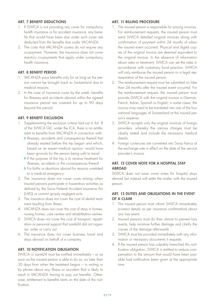# <span id="page-7-0"></span>ART. 7 BENEFIT DEDUCTIONS

- 1. If SWICA is not providing any cover for compulsory health insurance or for accident insurance, any benefits that would have been due under such cover are deducted from the benefits due under VACANZA.
- 2. The costs that VACANZA covers do not require any co-payment. However, the insurance does not cover statutory co-payments that apply under compulsory health insurance.

# ART. 8 BENEFIT PERIOD

- 1. VACANZA pays benefits only for as long as the person cannot be brought back to Switzerland due to medical reasons.
- 2. In the case of insurance cover by the week, benefits for illnesses and accidents abroad within the agreed insurance period are covered for up to 90 days beyond this period.

# ART. 9 BENEFIT EXCLUSION

- 1. Supplementing the exclusion criteria laid out in Art. 8 of the SWICA GIC under the ICA, there is no entitlement to benefits from VACANZA in connection with:
	- **›** Illnesses, accidents and consequences thereof that already existed before the trip began and which, based on an expert medical opinion, would have been grounds for the person being unfit to travel
	- **›** If the purpose of the trip is to receive treatment for illnesses, accidents or the consequences thereof
	- **›** For births or abortions abroad for reasons unrelated to a medical emergency
- 2. The insurance does not cover costs arising when insured persons participate in hazardous activities as defined by the Swiss Federal Accident Insurance Act (UVG) or commit grossly negligent acts.
- 3. The insurance does not cover the cost of dental treatment resulting from illness.
- 4. VACANZA does not cover the cost of stays in homes, nursing homes, care centres and rehabilitation centres.
- 5. SWICA does not cover the cost of transport, repatriation or personal support that santé24 did not organise, order or carry out.
- 6. The insurance does not cover business travel and stays abroad on behalf of a company.

# ART. 10 NOTIFICATION OBLIGATION

SWICA or santé24 must be notified immediately – or as soon as the insured person is able to do so, no later than 30 days from when the treatment begins – in writing or by phone about any illness or accident that is likely to result in VACANZA having to pay out benefits. Otherwise, entitlement to benefits starts on the date of the notification.

# ART. 11 BILLING PROCEDURE

- 1. The insured person is responsible for paying invoices. For reimbursement requests, the insured person must send SWICA detailed original invoices along with confirmation of payment within 24 months of when the insured event occurred. Physical and digital copies of the original invoice are deemed equivalent to the original invoice. In the absence of information about rates or treatment, SWICA can set the rates in accordance with customary local practice. SWICA will only reimburse the insured person or a legal representative of the insured person.
- 2. The reimbursement request must be submitted no later than 24 months after the insured event occurred. For the reimbursement request, the insured person must provide SWICA with the original invoice in German, French, Italian, Spanish or English; in some cases, the invoice may need to be translated into one of the four national languages of Switzerland at the insured person's expense.
- 3. SWICA accepts only the original invoices of foreign providers, whereby the various charges must be clearly stated and include the necessary medical details.
- 4. Foreign currencies are converted into Swiss francs at the exchange rate in effect on the date of the service provider's invoice.

# ART. 12 COVER NOTE FOR A HOSPITAL STAY **ABROAD**

SWICA does not issue cover notes for hospital stays abroad but instead will settle the matter with the insured person.

# ART. 13 DUTIES AND OBLIGATIONS IN THE EVENT OF A CLAIM

- 1. The insured person must inform SWICA immediately (contact details as per insurance confirmation) about any loss event.
- 2. Insured persons must do their utmost to prevent loss events, help minimise further damage and clarify the causes of the damage afterwards.
- 3. SWICA must be provided immediately with any information or necessary documents it requests.
- 4. If the insured person has culpably breached this notification obligation, SWICA is entitled to reduce compensation to the amount that would have been payable had notification been given at the appropriate time.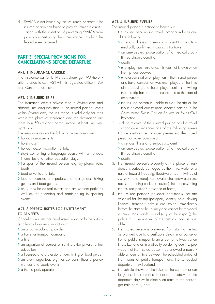<span id="page-8-0"></span>5. SWICA is not bound by this insurance contract if the insured person has failed to provide immediate notification with the intention of preventing SWICA from promptly ascertaining the circumstances in which the feared event occurred.

# PART 3: SPECIAL PROVISIONS FOR CANCELLATIONS BEFORE DEPARTURE

#### ART. 1 INSURANCE CARRIER

The insurance carrier is TAS Versicherungen AG (hereinafter referred to as "TAS") with its registered office in Vernier (Canton of Geneva).

#### ART. 2 INSURED TRIPS

The insurance covers private trips in Switzerland and abroad, including day trips. If the insured person travels within Switzerland, the insurance is valid only for trips where the place of residence and the destination are more than 50 km apart or that involve at least one overnight stay.

The insurance covers the following travel components:

- **›** holiday arrangements;
- **›** hotel stays;
- **›** holiday accommodation rentals;
- **›** stays combining a language course with a holiday, internships and further education stays;
- **›** transport of the insured person (e.g. by plane, train, boat);
- **›** boat or vehicle rentals;
- **›** fees for licensed and professional tour guides, hiking guides and boat guides;
- **›** entry fees for cultural events and amusement parks as well as for attending and participating in sporting events.

# ART. 3 PREREQUISITES FOR ENTITLEMENT TO BENEFITS

Cancellation costs are reimbursed in accordance with a legally valid written contract with:

- **›** an accommodation provider;
- **›** a travel or transport company;
- **›** a hirer;
- **›** an organiser of courses or seminars (for private further education);
- **›** a licensed and professional tour, hiking or boat guide;
- **›** an event organiser, e.g. for concerts, theatre performances and sports events;
- **›** a theme park operator.

# ART. 4 INSURED EVENTS

The insured person is entitled to benefits if

- 1. the insured person or a travel companion faces one of the following:
	- **›** a serious illness or a serious accident that results in medically confirmed incapacity for travel
	- **›** an unexpected exacerbation of a medically confirmed chronic condition
	- **›** death
	- **›** unemployment, insofar as this was not known when the trip was booked
	- **›** unforeseen start of employment if the insured person or a travel companion was unemployed at the time of the booking and the employer confirms in writing that the trip has to be cancelled due to the start of employment
	- **›** the insured person is unable to start the trip or the trip is delayed due to unanticipated service in the Swiss Army, Swiss Civilian Service or Swiss Civil Protection
- 2. a close relative of the insured person or of a travel companion experiences one of the following events that necessitates the continued presence of the insured person or travel companion:
	- **›** a serious illness or a serious accident
	- **›** an unexpected exacerbation of a medically confirmed chronic condition
	- **›** death
- 3. the insured person's property at the place of residence is seriously damaged by theft, fire, water or a natural hazard (flooding, floodwater, storm [winds of 75 km/h and more], hail, avalanche, snow pressure, rockslide, falling rocks, landslide) thus necessitating the insured person's presence at home;
- 4. the insured person's personal documents that are essential for the trip (passport, identity card, driving licence, transport tickets) are stolen immediately before the start of the journey and cannot be replaced within a reasonable period (e.g. at the airport); the police must be notified of the theft as soon as possible;
- 5. the insured person is prevented from starting the trip as planned due to a verifiable delay in or cancellation of public transport to an airport or railway station in Switzerland or in a directly bordering country, provided that the insured person had allowed a reasonable amount of time between the scheduled arrival of the means of public transport and the scheduled departure in Switzerland;
- 6. the vehicle shown on the ticket for the car train or car ferry fails due to an accident or a breakdown on the departure day while directly en route to the passenger train or ferry port;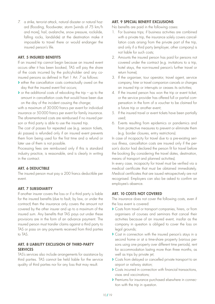<span id="page-9-0"></span>7. a strike, terrorist attack, natural disaster or natural hazard (flooding, floodwater, storm [winds of 75 km/h and more], hail, avalanche, snow pressure, rockslide, falling rocks, landslide) at the destination make it impossible to travel there or would endanger the insured person's life.

#### ART. 5 INSURED BENEFITS

If an insured trip cannot begin because an insured event occurs after it has been booked, TAS will pay the share of the costs incurred by the policyholder and any coinsured persons as defined in Part 1 Art. 7 as follows:

- **›** either the cancellation costs contractually owed on the day that the insured event first occurs;
- **›** or the additional costs of rebooking the trip up to the amount in cancellation costs that would have been due on the day of the incident causing the change;

with a maximum of 30000 francs per event for individual insurance or 50000 francs per event for family insurance. The aforementioned costs are reimbursed if no insured person or third party is able to use the insured trip.

The cost of passes for repeated use (e.g. season tickets, ski passes) is refunded only if an insured event prevents them from being used for the first time and a refund or later use of them is not possible.

Processing fees are reimbursed only if this is standard industry practice, is reasonable, and is clearly in writing in the contract.

# ART. 6 DEDUCTIBLE

The insured person must pay a 200 francs deductible per event.

# ART. 7 SUBSIDIARITY

If another insurer covers the loss or if a third party is liable for the insured benefits (due to fault, by law, or under the contract) then the insurance only covers the amount not covered by the other insurer and up to a maximum of the insured sum. Any benefits that TAS pays out under these provisions are in the form of an advance payment. The insured person must transfer claims against a third party to TAS or pass on any payments received from third parties to TAS.

# ART. 8 LIABILITY EXCLUSION OF THIRD-PARTY **SERVICES**

TAS's services also include arrangements for assistance by third parties. TAS cannot be held liable for the service quality of third parties nor for any loss that may result.

# ART. 9 SPECIAL BENEFIT EXCLUSIONS

No benefits are paid in the following cases:

- 1. For business trips; if business activities are combined with a private trip, the insurance solely covers cancellation costs arising from the private part of the trip, and only if a third party (employer, other company) is not liable for such costs;
- 2. Amounts the insured person has paid for persons not covered under the contract (e.g. invitations to a trip, hotel stays, the non-insured person's further travel or return home);
- 3. If the organiser, tour operator, travel agent, service company, hirer or travel companion cancels or changes an insured trip or interrupts or ceases its activities;
- 4. If the insured person has won the trip or event ticket, or the service provider has offered full or partial compensation in the form of a voucher to be claimed for a future trip or another event;
- 5. If the insured travel or event tickets have been partially used;
- 6. Events resulting from epidemics or pandemics and from protective measures to prevent or eliminate them (e.g. border closures, entry restrictions).

In case of incapacity for travel due to a pre-existing serious illness, cancellation costs are insured only if the person's doctor had declared the person fit for travel before the booking (by considering the travel dates, destination, means of transport and planned activities).

In every case, incapacity for travel must be verified via a medical certificate that must be obtained immediately. Medical certificates that are issued retrospectively are not recognised. Employers can also be asked to confirm an employee's absence.

#### ART. 10 COSTS NOT COVERED

The insurance does not cover the following costs, even if the loss event is covered:

- **›** Costs from travel or transport companies, hirers, or from organisers of courses and seminars that cancel their activities because of an insured event, insofar as the company in question is obliged to cover the loss on legal grounds;
- **›** Cost in connection with the insured person's stays in a second home or at a time-share property (various persons using one property over different time periods), rent for accommodation lasting more than three months, as well as trips by private jet;
- **›** Costs from delayed or cancelled private transport to an airport or railway station;
- **›** Costs incurred in connection with financial transactions, visas and vaccinations;
- **›** Premiums for insurance purchased elsewhere in connection with the trip in question.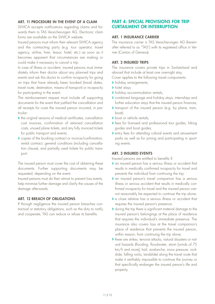# <span id="page-10-0"></span>ART. 11 PROCEDURE IN THE EVENT OF A CLAIM

SWICA accepts notifications regarding claims and forwards them to TAS Versicherungen AG. Electronic claim forms are available on the SWICA website.

Insured persons must inform their relevant SWICA agency and the contracting party (e.g. tour operator, travel agency, airline, hirer, lessor, hotel, etc.) as soon as it becomes apparent that circumstances are making or could make it necessary to cancel a trip.

In case of illness or accident, insured persons must immediately inform their doctor about any planned trips and events and ask this doctor to confirm incapacity for going on trips that have already been booked (travel dates, travel route, destination, means of transport) or incapacity for participating in the event.

The reimbursement request must include all supporting documents for the event that justified the cancellation and all receipts for costs the insured person incurred, in particular:

- **›** the original versions of medical certificates, cancellation cost invoices, confirmation of retained cancellation costs, unused plane tickets, and any fully invoiced tickets for public transport and events;
- **›** copies of the booking contract or invoice/confirmation, rental contract, general conditions (including cancellation clause), and partially used tickets for public transport.

The insured person must cover the cost of obtaining these documents. Further supporting documents may be requested, depending on the event.

Insured persons must do their utmost to prevent loss events, help minimise further damage and clarify the causes of the damage afterwards.

#### ART. 12 BREACH OF OBLIGATIONS

If through negligence the insured person breaches contractual or statutory obligations, such as the duty to notify and cooperate, TAS can reduce or refuse its benefits.

# PART 4: SPECIAL PROVISIONS FOR TRIP CURTAILMENT OR INTERRUPTION

#### ART. 1 INSURANCE CARRIER

The insurance carrier is TAS Versicherungen AG (hereinafter referred to as "TAS") with its registered office in Vernier (Canton of Geneva).

#### ART. 2 INSURED TRIPS

The insurance covers private trips in Switzerland and abroad that include at least one overnight stay.

Cover applies to the following travel components:

- **›** holiday arrangements;
- **›** hotel stays;
- **›** holiday accommodation rentals;
- **›** combined language and holiday stays, internships and further education stays that the insured person finances;
- **›** transport of the insured person (e.g. by plane, train, boat);
- **›** boat or vehicle rentals;
- **›** fees for licensed and professional tour guides, hiking guides and boat guides;
- **›** entry fees for attending cultural events and amusement parks as well as for joining and participating in sporting events.

#### ART. 3 INSURED EVENTS

Insured persons are entitled to benefits if:

- **›** an insured person has a serious illness or accident that results in medically confirmed incapacity for travel and prevents the individual from continuing the trip;
- **›** an insured person's travel companion has a serious illness or serious accident that results in medically confirmed incapacity for travel and the insured person cannot reasonably be expected to continue the trip alone;
- **›** a close relative has a serious illness or accident that requires the insured person's presence;
- **›** during the trip there is significant material damage to the insured person's belongings at the place of residence that requires the individual's immediate presence. The insurance also covers loss at the travel companion's place of residence that prevents the insured person, within reason, from continuing the trip alone;
- **›** there are strikes, terrorist attacks, natural disasters or natural hazards (flooding, floodwater, storm [winds of 75 km/h and more], hail, avalanche, snow pressure, rockslide, falling rocks, landslide) along the travel route that make it verifiably impossible to continue the journey or that specifically endanger the insured person's life and property.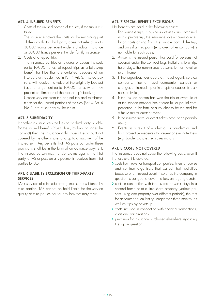#### <span id="page-11-0"></span>ART. 4 INSURED BENEFITS

1. Costs of the unused portion of the stay if the trip is curtailed:

The insurance covers the costs for the remaining part of the stay that a third party does not refund, up to 30000 francs per event under individual insurance or 50000 francs per event under family insurance.

2. Costs of a repeat trip:

The insurance contributes towards or covers the cost, up to 10000 francs, of repeat trips as a follow-up benefit for trips that are curtailed because of an insured event as defined in Part 4 Art. 3. Insured persons will receive the value of the originally booked travel arrangement up to 10000 francs when they present confirmation of the repeat trip's booking. Unused services from the original trip and reimbursements for the unused portions of the stay (Part 4 Art. 4 No.1) are offset against the claim.

#### ART. 5 SUBSIDIARITY

If another insurer covers the loss or if a third party is liable for the insured benefits (due to fault, by law, or under the contract) then the insurance only covers the amount not covered by the other insurer and up to a maximum of the insured sum. Any benefits that TAS pays out under these provisions shall be in the form of an advance payment. The insured person must transfer claims against the third party to TAS or pass on any payments received from third parties to TAS.

# ART. 6 LIABILITY EXCLUSION OF THIRD-PARTY **SERVICES**

TAS's services also include arrangements for assistance by third parties. TAS cannot be held liable for the service quality of third parties nor for any loss that may result.

# ART. 7 SPECIAL BENEFIT EXCLUSIONS

No benefits are paid in the following cases:

- 1. For business trips; if business activities are combined with a private trip, the insurance solely covers cancellation costs arising from the private part of the trip, and only if a third party (employer, other company) is not liable for such costs;
- 2. Amounts the insured person has paid for persons not covered under the contract (e.g. invitations to a trip, hotel stays, the non-insured person's further travel or return home);
- 3. If the organiser, tour operator, travel agent, service company, hirer or travel companion cancels or changes an insured trip or interrupts or ceases its business activities;
- 4. If the insured person has won the trip or event ticket or the service provider has offered full or partial compensation in the form of a voucher to be claimed for a future trip or another event;
- 5. If the insured travel or event tickets have been partially used;
- 6. Events as a result of epidemics or pandemics and from protective measures to prevent or eliminate them (e.g. border closures, entry restrictions).

#### ART. 8 COSTS NOT COVERED

The insurance does not cover the following costs, even if the loss event is covered:

- **›** costs from travel or transport companies, hirers or course and seminar organisers that cancel their activities because of an insured event, insofar as the company in question is obliged to cover the loss on legal grounds;
- **›** costs in connection with the insured person's stays in a second home or at a time-share property (various persons using one property over different periods), the rent for accommodation lasting longer than three months, as well as trips by private jet;
- **›** costs incurred in connection with financial transactions, visas and vaccinations;
- **›** premiums for insurance purchased elsewhere regarding the trip in question.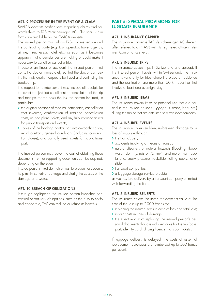# <span id="page-12-0"></span>ART. 9 PROCEDURE IN THE EVENT OF A CLAIM

SWICA accepts notifications regarding claims and forwards them to TAS Versicherungen AG. Electronic claim forms are available on the SWICA website.

The insured person must inform TAS's claims service and the contracting party (e.g. tour operator, travel agency, airline, hirer, lessor, hotel, etc.) as soon as it becomes apparent that circumstances are making or could make it necessary to curtail or cancel a trip.

In case of an illness or accident, the insured person must consult a doctor immediately so that the doctor can certify the individual's incapacity for travel and continuing the booked trip.

The request for reimbursement must include all receipts for the event that justified curtailment or cancellation of the trip and receipts for the costs the insured person incurred, in particular:

- **›** the original versions of medical certificates, cancellation cost invoices, confirmation of retained cancellation costs, unused plane tickets, and any fully invoiced tickets for public transport and events;
- **›** copies of the booking contract or invoice/confirmation, rental contract, general conditions (including cancellation clause), and partially used tickets for public transport.

The insured person must cover the cost of obtaining these documents. Further supporting documents can be required, depending on the event.

Insured persons must do their utmost to prevent loss events, help minimise further damage and clarify the causes of the damage afterwards.

#### ART. 10 BREACH OF OBLIGATIONS

If through negligence the insured person breaches contractual or statutory obligations, such as the duty to notify and cooperate, TAS can reduce or refuse its benefits.

# PART 5: SPECIAL PROVISIONS FOR LUGGAGE INSURANCE

#### ART. 1 INSURANCE CARRIER

The insurance carrier is TAS Versicherungen AG (hereinafter referred to as "TAS") with its registered office in Vernier (Canton of Geneva).

#### ART. 2 INSURED TRIPS

The insurance covers trips in Switzerland and abroad. If the insured person travels within Switzerland, the insurance is valid only for trips where the place of residence and the destination are more than 50 km apart or that involve at least one overnight stay.

#### ART. 3 INSURED ITEMS

The insurance covers items of personal use that are carried in the insured person's luggage (suitcase, bag, etc.) during the trip or that are entrusted to a transport company.

#### ART. 4 INSURED EVENTS

The insurance covers sudden, unforeseen damage to or loss of luggage through

- **›** theft or robbery;
- **›** accidents involving a means of transport;
- **›** natural disasters or natural hazards (flooding, floodwater, storm [winds of 75 km/h and more], hail, avalanche, snow pressure, rockslide, falling rocks, landslide);
- **›** transport companies;
- **›** a luggage storage service provider

as well as late delivery by a transport company entrusted with forwarding the item.

#### ART. 5 INSURED BENEFITS

The insurance covers the item's replacement value at the time of the loss up to 2000 francs for:

- **›** replacing the insured items in case of loss and total loss;
- **›** repair costs in case of damage;
- **›** the effective cost of replacing the insured person's personal documents that are indispensable for the trip (passport, identity card, driving licence, transport tickets).

If luggage delivery is delayed, the costs of essential replacement purchases are reimbursed up to 500 francs per event.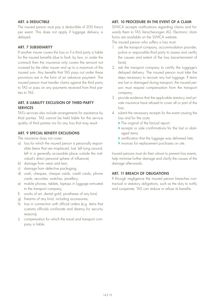# <span id="page-13-0"></span>ART. 6 DEDUCTIBLE

The insured person must pay a deductible of 200 francs per event. This does not apply if luggage delivery is delayed.

#### ART. 7 SUBSIDIARITY

If another insurer covers the loss or if a third party is liable for the insured benefits (due to fault, by law, or under the contract) then the insurance only covers the amount not covered by the other insurer and up to a maximum of the insured sum. Any benefits that TAS pays out under these provisions are in the form of an advance payment. The insured person must transfer claims against the third party to TAS or pass on any payments received from third parties to TAS.

#### ART. 8 LIABILITY EXCLUSION OF THIRD-PARTY **SERVICES**

TAS's services also include arrangements for assistance by third parties. TAS cannot be held liable for the service quality of third parties nor for any loss that may result.

#### ART. 9 SPECIAL BENEFIT EXCLUSIONS

The insurance does not cover:

- a) loss for which the insured person is personally responsible (items that are misplaced, lost, left lying around, left in a generally accessible place outside the individual's direct personal sphere of influence);
- b) damage from wear and tear;
- c) damage from defective packaging;
- d) cash, cheques, cheque cards, credit cards, phone cards, securities, watches, jewellery;
- e) mobile phones, tablets, laptops in luggage entrusted to the transport company;
- f) works of art, dental gold, prostheses of any kind;
- g) firearms of any kind, including accessories;
- h) loss in connection with official orders (e.g. items that customs officials confiscate and destroy for security reasons);
- i) compensation for which the travel and transport company is liable.

# ART. 10 PROCEDURE IN THE EVENT OF A CLAIM

SWICA accepts notifications regarding claims and forwards them to TAS Versicherungen AG. Electronic claim forms are available on the SWICA website.

The insured person who suffers a loss must:

- 1. ask the transport company, accommodation provider, police or responsible third party to assess and certify the causes and extent of the loss (ascertainment of facts);
- 2. ask the transport company to certify the luggage's delayed delivery. The insured person must take the steps necessary to recover any lost luggage. If items are lost or damaged during transport, the insured person must request compensation from the transport company;
- 3. provide evidence that the applicable statutory and private insurance have refused to cover all or part of the loss;
- 4. submit the necessary receipts for the event causing the loss and for the costs:
	- **›** The original of the factual report;
	- **›** receipts or sale confirmations for the lost or damaged items;
	- **›** certification that the luggage was delivered late;
	- **›** invoices for replacement purchases on site.

Insured persons must do their utmost to prevent loss events, help minimise further damage and clarify the causes of the damage afterwards.

#### ART. 11 BREACH OF OBLIGATIONS

If through negligence the insured person breaches contractual or statutory obligations, such as the duty to notify and cooperate, TAS can reduce or refuse its benefits.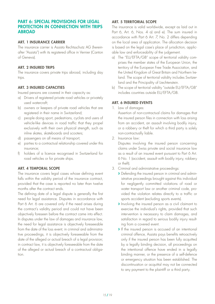# <span id="page-14-0"></span>PART 6: SPECIAL PROVISIONS FOR LEGAL PROTECTION IN CONNECTION WITH TRIPS ABROAD

# ART. 1 INSURANCE CARRIER

The insurance carrier is Assista Rechtsschutz AG (hereinafter "Assista") with its registered office in Vernier (Canton of Geneva).

#### ART. 2 INSURED TRIPS

The insurance covers private trips abroad, including day trips.

#### ART. 3 INSURED CAPACITIES

Insured persons are covered in their capacity as:

- a) Drivers of registered private road vehicles or privately used watercraft;
- b) owners or keepers of private road vehicles that are registered in their name in Switzerland;
- c) people doing sport, pedestrians, cyclists and users of vehicle-like devices in road traffic that they propel exclusively with their own physical strength, such as inline skates, skateboards and scooters;
- d) passengers on all means of transport;
- e) parties to a contractual relationship covered under this insurance;
- f) holders of a licence recognised in Switzerland for road vehicles or for private ships.

# ART. 4 TEMPORAL SCOPE

The insurance covers legal cases whose defining event falls within the validity period of the insurance contract, provided that the case is reported no later than twelve months after the contract ends.

The defining date of a legal dispute is generally the first need for legal assistance. Disputes in accordance with Part 6 Art. 6 are covered only if the need arises during the contract's validity period and could not have been objectively foreseen before the contract came into effect. In disputes under the law of damages and insurance law, the need for legal assistance is objectively foreseeable from the date of the loss event; in criminal and administrative proceedings, it is objectively foreseeable from the date of the alleged or actual breach of a legal provision; in contract law, it is objectively foreseeable from the date of the alleged or actual breach of a contractual obligation.

# ART. 5 TERRITORIAL SCOPE

The insurance is valid worldwide, except as laid out in Part 6, Art. 6, Nos. 4 a) and e). The sum insured in accordance with Part 6 Art. 7, No. 2 differs depending on the local area of application. The allocation decision is based on the legal case's place of jurisdiction, applicable law and enforceability of the judgement.

- a) The "EU/EFTA/GB" scope of territorial validity comprises the member states of the European Union, the territory of the European Free Trade Association, and the United Kingdom of Great Britain and Northern Ireland. The scope of territorial validity includes Switzerland and the Principality of Liechtenstein.
- b) The scope of territorial validity "outside EU/EFTA/GB" includes countries outside EU/EFTA/GB.

# ART. 6 INSURED EVENTS

1. Law of damages:

Assertion of non-contractual claims for damages that the insured person files in connection with loss arising from an accident, an assault involving bodily injury, or a robbery or theft for which a third party is solely non-contractually liable.

2. Insurance law:

Disputes involving the insured person concerning claims under Swiss private and social insurance law as a result of an insured event pursuant to Part 6 Art. 6 No. 1 (accident, assault with bodily injury, robbery or theft).

- 3. Criminal and administrative proceedings:
	- **›** Defending the insured person in criminal and administrative proceedings brought against this individual for negligently committed violations of road or water transport law or another criminal code, provided the violation relates directly to a traffic or sports accident (excluding sports events).
	- **›** Involving the insured person as a civil claimant to exercise the individual's rights, provided that such intervention is necessary to claim damages, and satisfaction in regard to serious bodily injury resulting from a covered event.
	- **›** If the insured person is accused of an intentional criminal offence, Assista pays benefits retroactively only if the insured person has been fully acquitted by a legally binding decision, all proceedings on the intentional offence have ended in a legally binding manner, or the presence of a self-defence or emergency situation has been established. The discontinuation or acquittal may not be connected to any payment to the plaintiff or a third party.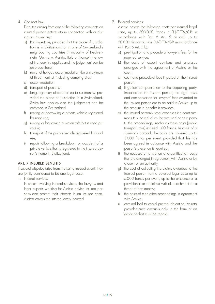#### <span id="page-15-0"></span>4. Contract law:

Disputes arising from any of the following contracts an insured person enters into in connection with or during an insured trip:

- a) Package trips, provided that the place of jurisdiction is in Switzerland or in one of Switzerland's neighbouring countries (Principality of Liechtenstein, Germany, Austria, Italy or France), the law of that country applies and the judgement can be enforced there;
- b) rental of holiday accommodation (for a maximum of three months), including camping sites;
- c) accommodation;
- d) transport of persons;
- e) language stay abroad of up to six months, provided the place of jurisdiction is in Switzerland, Swiss law applies and the judgement can be enforced in Switzerland;
- f) renting or borrowing a private vehicle registered for road use;
- g) renting or borrowing a watercraft that is used privately;
- h) transport of the private vehicle registered for road use;
- i) repair following a breakdown or accident of a private vehicle that is registered in the insured person's name in Switzerland.

# ART. 7 INSURED BENEFITS

If several disputes arise from the same insured event, they are jointly considered to be one legal case.

1. Internal services:

In cases involving internal services, the lawyers and legal experts working for Assista advise insured persons and protect their interests in an insured case. Assista covers the internal costs incurred.

2. External services:

Assista covers the following costs per insured legal case, up to 300000 francs in EU/EFTA/GB in accordance with Part 6 Art. 5 a) and up to 50000 francs outside EU/EFTA/GB in accordance with Part 6 Art. 5 b):

- a) pre-litigation and procedural lawyer's fees for the required service;
- b) the costs of expert opinions and analyses arranged with the agreement of Assista or the court;
- c) court and procedural fees imposed on the insured person;
- d) litigation compensation to the opposing party imposed on the insured person; the legal costs and compensation for lawyers' fees awarded to the insured person are to be paid to Assista up to the amount in benefits it provides;
- e) the insured person's travel expenses if a court summons this individual as the accused or as a party to the proceedings, insofar as these costs (public transport rate) exceed 100 francs. In case of a summons abroad, the costs are covered up to 5000 francs per event, provided that this has been agreed in advance with Assista and the person's presence is required;
- f) the necessary translation and certification costs that are arranged in agreement with Assista or by a court or an authority;
- g) the cost of collecting the claims awarded to the insured person from a covered legal case up to 5000 francs per event, up to the existence of a provisional or definitive writ of attachment or a threat of bankruptcy;
- h) the costs of mediation proceedings in agreement with Assista;
- i) criminal bail to avoid pre-trial detention; Assista provides such amounts only in the form of an advance that must be repaid.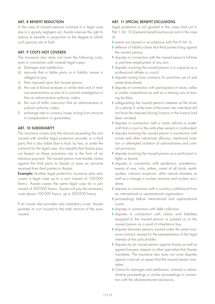# <span id="page-16-0"></span>ART. 8 BENEFIT REDUCTION

In the case of insured persons involved in a legal case due to a grossly negligent act, Assista reserves the right to reduce its benefits in proportion to the degree to which such persons are at fault.

#### ART. 9 COSTS NOT COVERED

The insurance also does not cover the following costs, even in connection with covered legal cases:

- a) Damages and satisfaction;
- b) amounts that a liable party or a liability insurer is obliged to pay;
- c) fines imposed upon the insured person;
- d) the cost of blood analyses or similar tests and of medical examinations as part of a criminal investigation or that an administrative authority orders;
- e) the cost of traffic instruction that an administrative or judicial authority orders;
- f) exchange rate or currency losses arising from amounts in compensation or guarantees.

#### ART. 10 SUBSIDIARITY

The insurance covers only the amount exceeding the sum insured with another legal protection provider or a third party that is also liable (due to fault, by law, or under the contract) for the legal case. Any benefits that Assista pays out based on these provisions are in the form of an advance payment. The insured person must transfer claims against the third party to Assista or pass on amounts received from third parties to Assista.

**Example:** Another legal protection insurance plan also covers a legal case up to a sum insured of 100000 francs. Assista covers the same legal case for a sum insured of 300000 francs. Assista will pay the necessary costs above 100000 francs, up to 300000 francs.

If an insurer also provides only subsidiary cover, Assista prorates its sum insured to the total amount of the sums insured.

# ART. 11 SPECIAL BENEFIT EXCLUSIONS

Legal protection is not granted in the cases laid out in Part 1 Art. 10 (General benefit exclusions) and in the case of

- **›** events not insured in accordance with Part 6 Art. 6;
- **›** defence of liability claims that third parties bring against the insured person;
- **›** disputes in connection with the insured person's full-time or part-time employment of any sort;
- **›** disputes involving the insured person in a capacity as a professional athlete or coach;
- **›** disputes arising from contracts for part-time use of real estate (time-share);
- **›** disputes in connection with participation in races, rallies or similar competitions as well as in training runs at training facilities;
- **›** safeguarding the insured person's interests as the driver of a vehicle if, at the time of the event, the individual did not have the required driving licence or the licence had been revoked;
- **›** disputes in connection with a motor vehicle or watercraft that a court or the authorities seized or confiscated;
- **›** disputes involving the insured person in connection with crimes and other intentional offences, intentional violation or attempted violation of administrative and criminal provisions;
- **›** disputes involving the insured person as a participant in fights or brawls;
- **›** disputes in connection with epidemics, pandemics, events of war, riots, strikes, unrest of all kinds, earthquakes, volcanic eruptions, other natural disasters as well as a change in nuclear structure and nuclear accidents;
- **›** disputes in connection with a country's withdrawal from an international or supranational organisation;
- **›** proceedings before international and supranational courts;
- **›** disputes in connection with debt collection;
- **›** disputes in connection with claims and liabilities assigned to the insured person or passed on to the insured person as a result of inheritance law;
- **›** disputes between persons insured under the same insurance contract, except for the representation of the legal interests of the policyholder;
- **›** disputes by an insured person against Assista as well as against lawyers, experts or other specialists that Assista mandates. The insurance also does not cover disputes against a lawyer or expert that the insured person mandates;
- **›** Claims for damages and satisfaction, criminal or administrative proceedings or similar proceedings in connection with the aforementioned exclusions.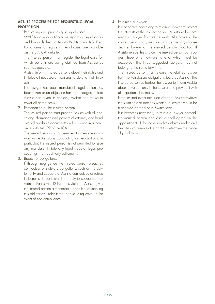#### <span id="page-17-0"></span>ART. 12 PROCEDURE FOR REQUESTING LEGAL **PROTECTION**

1. Registering and processing a legal case:

SWICA accepts notifications regarding legal cases and forwards them to Assista Rechtsschutz AG. Electronic forms for registering legal cases are available on the SWICA website.

The insured person must register the legal case for which benefits are being claimed from Assista as soon as possible.

Assista informs insured persons about their rights and initiates all necessary measures to defend their interests.

If a lawyer has been mandated, legal action has been taken or an objection has been lodged before Assista has given its consent, Assista can refuse to cover all of the costs.

2. Participation of the insured person:

The insured person must provide Assista with all necessary information and powers of attorney and hand over all available documents and evidence in accordance with Art. 39 of the ICA.

The insured person is not permitted to intervene in any way while Assista is conducting its negotiations. In particular, the insured person is not permitted to issue any mandate, initiate any legal steps or legal proceedings, nor reach any settlements.

3. Breach of obligations:

If through negligence the insured person breaches contractual or statutory obligations, such as the duty to notify and cooperate, Assista can reduce or refuse its benefits. In particular if the duty to cooperate pursuant to Part 6 Art. 12 No. 2 is violated, Assista gives the insured person a reasonable deadline for meeting this obligation under threat of excluding cover in the event of non-compliance.

4. Retaining a lawyer:

If it becomes necessary to retain a lawyer to protect the interests of the insured person, Assista will recommend a lawyer from its network. Alternatively, the insured person can, with Assista's permission, choose another lawyer at the insured person's location. If Assista rejects this choice, the insured person can suggest three other lawyers, one of which must be accepted. The three suggested lawyers may not belong to the same law firm.

The insured person must release the retained lawyer from non-disclosure obligations towards Assista. The insured person authorises the lawyer to inform Assista about developments in the case and to provide it with all important documents.

If the insured event occurred abroad, Assista reviews the situation and decides whether a lawyer should be mandated abroad or in Switzerland.

If it becomes necessary to retain a lawyer abroad, the insured person and Assista shall agree on the appointment. If the case involves claims under civil law, Assista reserves the right to determine the place of jurisdiction.